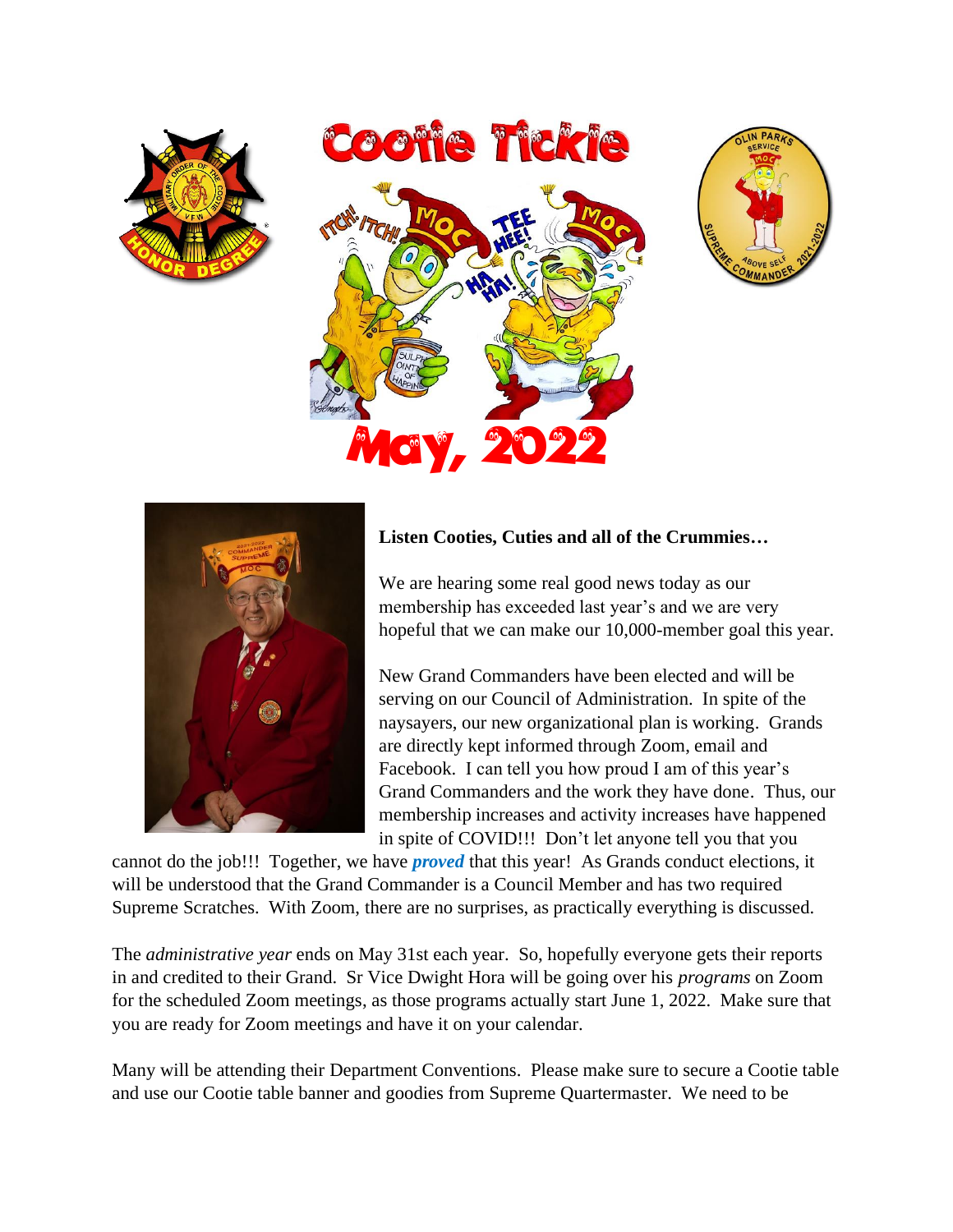



## **Listen Cooties, Cuties and all of the Crummies…**

We are hearing some real good news today as our membership has exceeded last year's and we are very hopeful that we can make our 10,000-member goal this year.

New Grand Commanders have been elected and will be serving on our Council of Administration. In spite of the naysayers, our new organizational plan is working. Grands are directly kept informed through Zoom, email and Facebook. I can tell you how proud I am of this year's Grand Commanders and the work they have done. Thus, our membership increases and activity increases have happened in spite of COVID!!! Don't let anyone tell you that you

cannot do the job!!! Together, we have *proved* that this year! As Grands conduct elections, it will be understood that the Grand Commander is a Council Member and has two required Supreme Scratches. With Zoom, there are no surprises, as practically everything is discussed.

The *administrative year* ends on May 31st each year. So, hopefully everyone gets their reports in and credited to their Grand. Sr Vice Dwight Hora will be going over his *programs* on Zoom for the scheduled Zoom meetings, as those programs actually start June 1, 2022. Make sure that you are ready for Zoom meetings and have it on your calendar.

Many will be attending their Department Conventions. Please make sure to secure a Cootie table and use our Cootie table banner and goodies from Supreme Quartermaster. We need to be